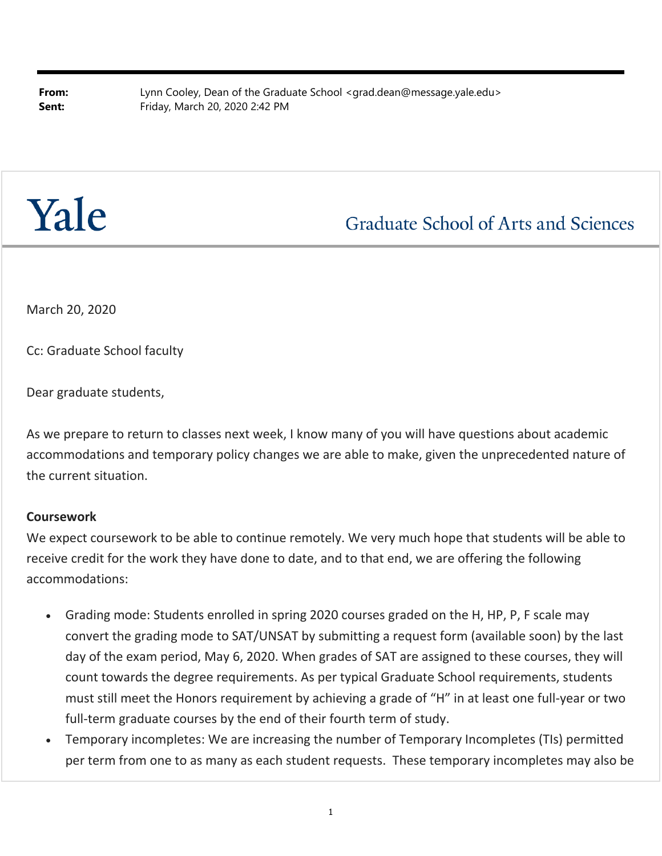**From:** Lynn Cooley, Dean of the Graduate School <grad.dean@message.yale.edu> **Sent:** Friday, March 20, 2020 2:42 PM

# Yale

# **Graduate School of Arts and Sciences**

March 20, 2020

Cc: Graduate School faculty

Dear graduate students,

As we prepare to return to classes next week, I know many of you will have questions about academic accommodations and temporary policy changes we are able to make, given the unprecedented nature of the current situation.

# **Coursework**

We expect coursework to be able to continue remotely. We very much hope that students will be able to receive credit for the work they have done to date, and to that end, we are offering the following accommodations:

- Grading mode: Students enrolled in spring 2020 courses graded on the H, HP, P, F scale may convert the grading mode to SAT/UNSAT by submitting a request form (available soon) by the last day of the exam period, May 6, 2020. When grades of SAT are assigned to these courses, they will count towards the degree requirements. As per typical Graduate School requirements, students must still meet the Honors requirement by achieving a grade of "H" in at least one full‐year or two full-term graduate courses by the end of their fourth term of study.
- Temporary incompletes: We are increasing the number of Temporary Incompletes (TIs) permitted per term from one to as many as each student requests. These temporary incompletes may also be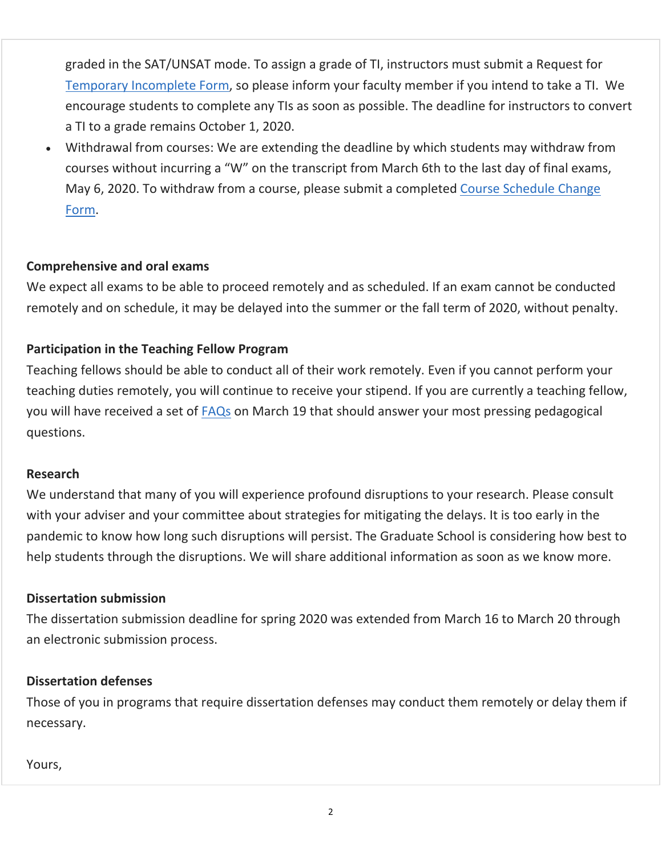graded in the SAT/UNSAT mode. To assign a grade of TI, instructors must submit a Request for Temporary Incomplete Form, so please inform your faculty member if you intend to take a TI. We encourage students to complete any TIs as soon as possible. The deadline for instructors to convert a TI to a grade remains October 1, 2020.

 Withdrawal from courses: We are extending the deadline by which students may withdraw from courses without incurring a "W" on the transcript from March 6th to the last day of final exams, May 6, 2020. To withdraw from a course, please submit a completed Course Schedule Change Form.

# **Comprehensive and oral exams**

We expect all exams to be able to proceed remotely and as scheduled. If an exam cannot be conducted remotely and on schedule, it may be delayed into the summer or the fall term of 2020, without penalty.

# **Participation in the Teaching Fellow Program**

Teaching fellows should be able to conduct all of their work remotely. Even if you cannot perform your teaching duties remotely, you will continue to receive your stipend. If you are currently a teaching fellow, you will have received a set of FAQs on March 19 that should answer your most pressing pedagogical questions.

# **Research**

We understand that many of you will experience profound disruptions to your research. Please consult with your adviser and your committee about strategies for mitigating the delays. It is too early in the pandemic to know how long such disruptions will persist. The Graduate School is considering how best to help students through the disruptions. We will share additional information as soon as we know more.

# **Dissertation submission**

The dissertation submission deadline for spring 2020 was extended from March 16 to March 20 through an electronic submission process.

# **Dissertation defenses**

Those of you in programs that require dissertation defenses may conduct them remotely or delay them if necessary.

# Yours,